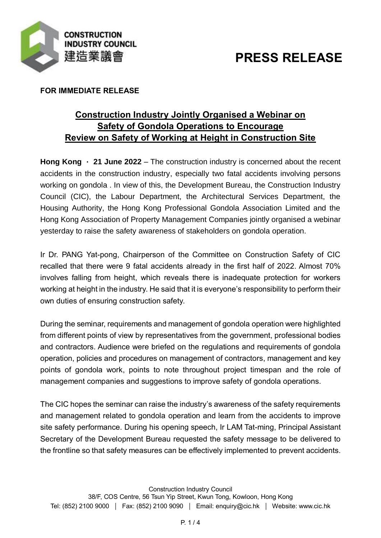

# **PRESS RELEASE**

## **FOR IMMEDIATE RELEASE**

# **Construction Industry Jointly Organised a Webinar on Safety of Gondola Operations to Encourage Review on Safety of Working at Height in Construction Site**

**Hong Kong**  $\cdot$  **21 June 2022** – The construction industry is concerned about the recent accidents in the construction industry, especially two fatal accidents involving persons working on gondola . In view of this, the Development Bureau, the Construction Industry Council (CIC), the Labour Department, the Architectural Services Department, the Housing Authority, the Hong Kong Professional Gondola Association Limited and the Hong Kong Association of Property Management Companies jointly organised a webinar yesterday to raise the safety awareness of stakeholders on gondola operation.

Ir Dr. PANG Yat-pong, Chairperson of the Committee on Construction Safety of CIC recalled that there were 9 fatal accidents already in the first half of 2022. Almost 70% involves falling from height, which reveals there is inadequate protection for workers working at height in the industry. He said that it is everyone's responsibility to perform their own duties of ensuring construction safety.

During the seminar, requirements and management of gondola operation were highlighted from different points of view by representatives from the government, professional bodies and contractors. Audience were briefed on the regulations and requirements of gondola operation, policies and procedures on management of contractors, management and key points of gondola work, points to note throughout project timespan and the role of management companies and suggestions to improve safety of gondola operations.

The CIC hopes the seminar can raise the industry's awareness of the safety requirements and management related to gondola operation and learn from the accidents to improve site safety performance. During his opening speech, Ir LAM Tat-ming, Principal Assistant Secretary of the Development Bureau requested the safety message to be delivered to the frontline so that safety measures can be effectively implemented to prevent accidents.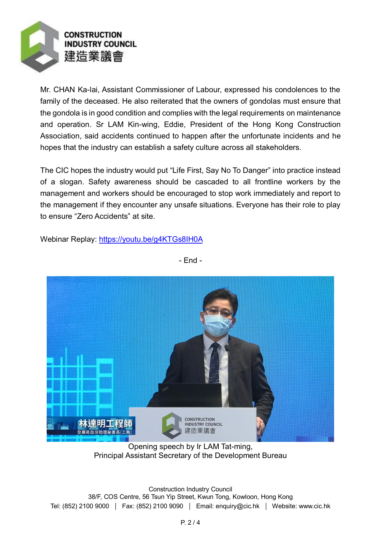

Mr. CHAN Ka-lai, Assistant Commissioner of Labour, expressed his condolences to the family of the deceased. He also reiterated that the owners of gondolas must ensure that the gondola is in good condition and complies with the legal requirements on maintenance and operation. Sr LAM Kin-wing, Eddie, President of the Hong Kong Construction Association, said accidents continued to happen after the unfortunate incidents and he hopes that the industry can establish a safety culture across all stakeholders.

The CIC hopes the industry would put "Life First, Say No To Danger" into practice instead of a slogan. Safety awareness should be cascaded to all frontline workers by the management and workers should be encouraged to stop work immediately and report to the management if they encounter any unsafe situations. Everyone has their role to play to ensure "Zero Accidents" at site.

Webinar Replay:<https://youtu.be/g4KTGs8IH0A>



- End -

Opening speech by Ir LAM Tat-ming, Principal Assistant Secretary of the Development Bureau

Construction Industry Council 38/F, COS Centre, 56 Tsun Yip Street, Kwun Tong, Kowloon, Hong Kong Tel: (852) 2100 9000 | Fax: (852) 2100 9090 | Email: enquiry@cic.hk | Website: www.cic.hk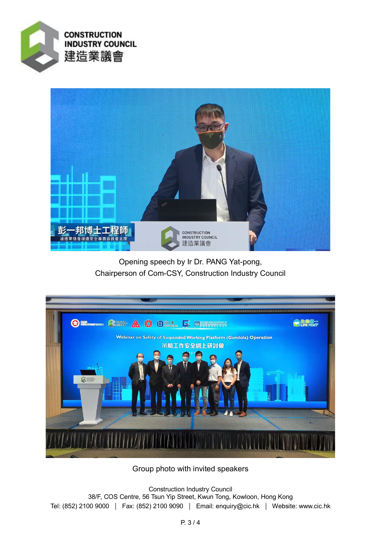



Opening speech by Ir Dr. PANG Yat-pong, Chairperson of Com-CSY, Construction Industry Council



Group photo with invited speakers

Construction Industry Council 38/F, COS Centre, 56 Tsun Yip Street, Kwun Tong, Kowloon, Hong Kong Tel: (852) 2100 9000 | Fax: (852) 2100 9090 | Email: enquiry@cic.hk | Website: www.cic.hk